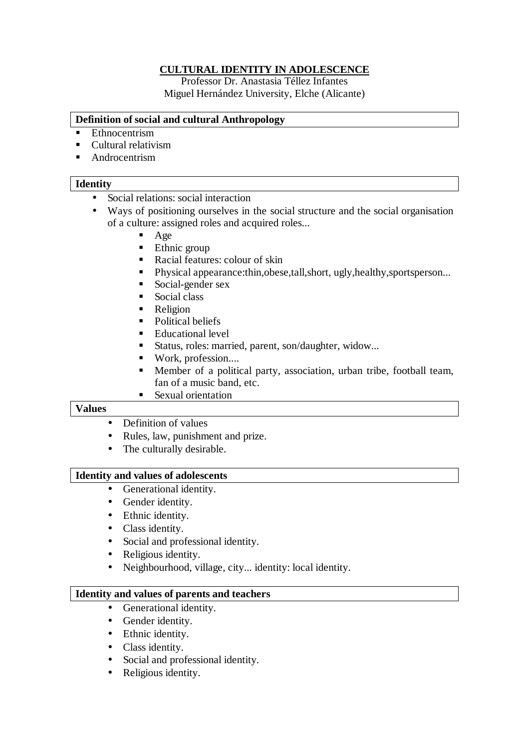# **CULTURAL IDENTITY IN ADOLESCENCE**

Professor Dr. Anastasia Téllez Infantes Miguel Hernández University, Elche (Alicante)

### **Definition of social and cultural Anthropology**

- **Ethnocentrism**
- Cultural relativism
- **E** Androcentrism

## **Identity**

- Social relations: social interaction
- Ways of positioning ourselves in the social structure and the social organisation of a culture: assigned roles and acquired roles...
	- Age
	- Ethnic group
	- Racial features: colour of skin
	- !"Physical appearance:thin,obese,tall,short, ugly,healthy,sportsperson...
	- **Social-gender sex**
	- **Social class**
	- **Religion**
	- Political beliefs
	- Educational level
	- !"Status, roles: married, parent, son/daughter, widow...
	- Work, profession....
	- !"Member of a political party, association, urban tribe, football team, fan of a music band, etc.
	- **Sexual orientation**

## **Values**

- Definition of values
- Rules, law, punishment and prize.
- The culturally desirable.

### **Identity and values of adolescents**

- Generational identity.
- Gender identity.
- Ethnic identity.
- Class identity.
- Social and professional identity.
- Religious identity.
- Neighbourhood, village, city... identity: local identity.

### **Identity and values of parents and teachers**

- Generational identity.
- Gender identity.
- Ethnic identity.
- Class identity.
- Social and professional identity.
- Religious identity.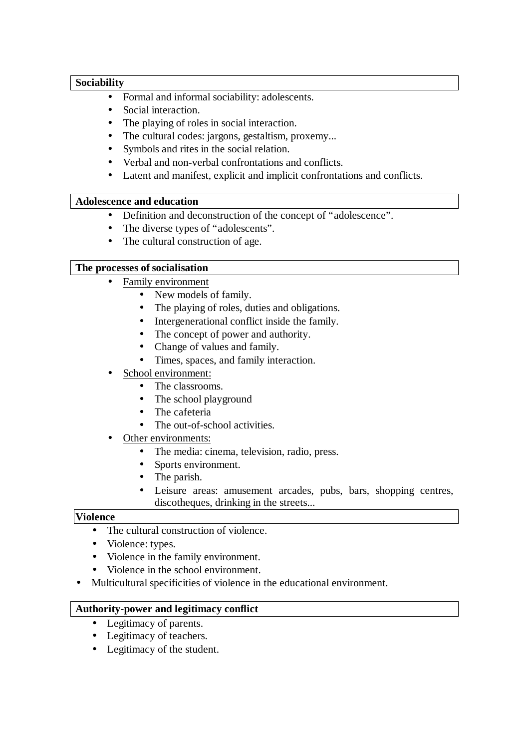# **Sociability**

- Formal and informal sociability: adolescents.
- Social interaction.
- The playing of roles in social interaction.
- The cultural codes: jargons, gestaltism, proxemy...
- Symbols and rites in the social relation.
- Verbal and non-verbal confrontations and conflicts.
- Latent and manifest, explicit and implicit confrontations and conflicts.

# **Adolescence and education**

- Definition and deconstruction of the concept of "adolescence".
- The diverse types of "adolescents".
- The cultural construction of age.

# **The processes of socialisation**

- Family environment
	- New models of family.
	- The playing of roles, duties and obligations.
	- Intergenerational conflict inside the family.
	- The concept of power and authority.
	- Change of values and family.
	- Times, spaces, and family interaction.
- School environment:
	- The classrooms.
	- The school playground
	- The cafeteria
	- The out-of-school activities.
- Other environments:
	- The media: cinema, television, radio, press.
	- Sports environment.
	- The parish.
	- Leisure areas: amusement arcades, pubs, bars, shopping centres, discotheques, drinking in the streets...

### **Violence**

- The cultural construction of violence.
- Violence: types.
- Violence in the family environment.
- Violence in the school environment.
- Multicultural specificities of violence in the educational environment.

### **Authority-power and legitimacy conflict**

- Legitimacy of parents.
- Legitimacy of teachers.
- Legitimacy of the student.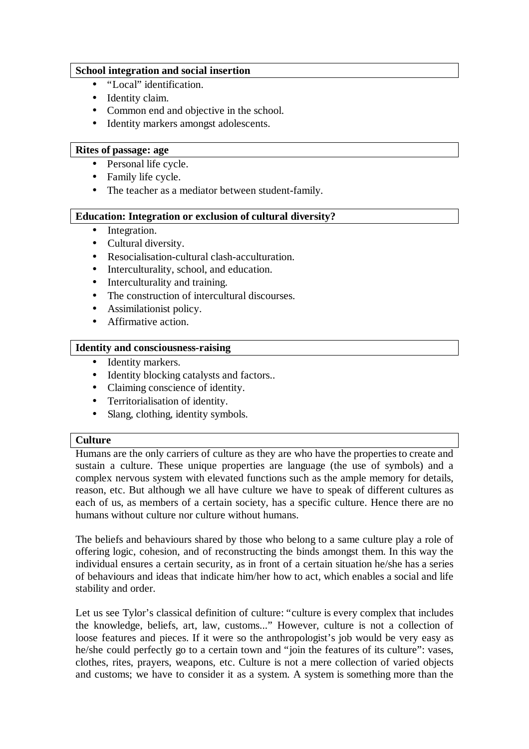# **School integration and social insertion**

- "Local" identification.
- Identity claim.
- Common end and objective in the school.
- Identity markers amongst adolescents.

## **Rites of passage: age**

- Personal life cycle.
- Family life cycle.
- The teacher as a mediator between student-family.

# **Education: Integration or exclusion of cultural diversity?**

- Integration.
- Cultural diversity.
- Resocialisation-cultural clash-acculturation.
- Interculturality, school, and education.
- Interculturality and training.
- The construction of intercultural discourses.
- Assimilationist policy.
- Affirmative action.

# **Identity and consciousness-raising**

- Identity markers.
- Identity blocking catalysts and factors..
- Claiming conscience of identity.
- Territorialisation of identity.
- Slang, clothing, identity symbols.

### **Culture**

Humans are the only carriers of culture as they are who have the properties to create and sustain a culture. These unique properties are language (the use of symbols) and a complex nervous system with elevated functions such as the ample memory for details, reason, etc. But although we all have culture we have to speak of different cultures as each of us, as members of a certain society, has a specific culture. Hence there are no humans without culture nor culture without humans.

The beliefs and behaviours shared by those who belong to a same culture play a role of offering logic, cohesion, and of reconstructing the binds amongst them. In this way the individual ensures a certain security, as in front of a certain situation he/she has a series of behaviours and ideas that indicate him/her how to act, which enables a social and life stability and order.

Let us see Tylor's classical definition of culture: "culture is every complex that includes the knowledge, beliefs, art, law, customs..." However, culture is not a collection of loose features and pieces. If it were so the anthropologist's job would be very easy as he/she could perfectly go to a certain town and "join the features of its culture": vases, clothes, rites, prayers, weapons, etc. Culture is not a mere collection of varied objects and customs; we have to consider it as a system. A system is something more than the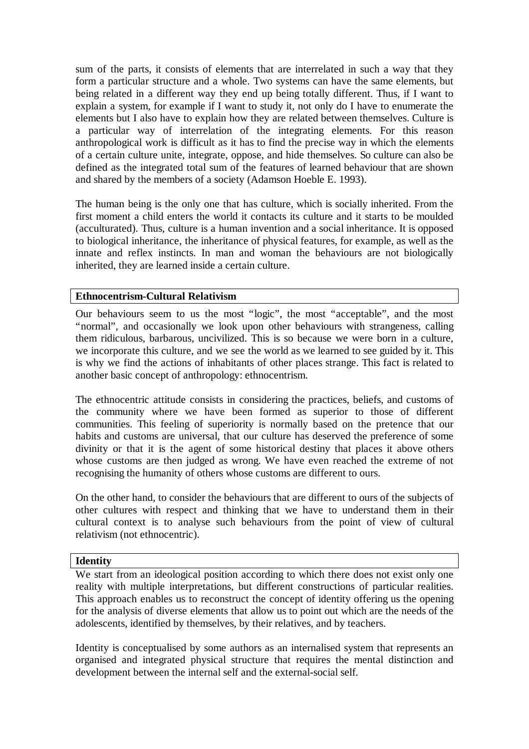sum of the parts, it consists of elements that are interrelated in such a way that they form a particular structure and a whole. Two systems can have the same elements, but being related in a different way they end up being totally different. Thus, if I want to explain a system, for example if I want to study it, not only do I have to enumerate the elements but I also have to explain how they are related between themselves. Culture is a particular way of interrelation of the integrating elements. For this reason anthropological work is difficult as it has to find the precise way in which the elements of a certain culture unite, integrate, oppose, and hide themselves. So culture can also be defined as the integrated total sum of the features of learned behaviour that are shown and shared by the members of a society (Adamson Hoeble E. 1993).

The human being is the only one that has culture, which is socially inherited. From the first moment a child enters the world it contacts its culture and it starts to be moulded (acculturated). Thus, culture is a human invention and a social inheritance. It is opposed to biological inheritance, the inheritance of physical features, for example, as well as the innate and reflex instincts. In man and woman the behaviours are not biologically inherited, they are learned inside a certain culture.

# **Ethnocentrism-Cultural Relativism**

Our behaviours seem to us the most "logic", the most "acceptable", and the most "normal", and occasionally we look upon other behaviours with strangeness, calling them ridiculous, barbarous, uncivilized. This is so because we were born in a culture, we incorporate this culture, and we see the world as we learned to see guided by it. This is why we find the actions of inhabitants of other places strange. This fact is related to another basic concept of anthropology: ethnocentrism.

The ethnocentric attitude consists in considering the practices, beliefs, and customs of the community where we have been formed as superior to those of different communities. This feeling of superiority is normally based on the pretence that our habits and customs are universal, that our culture has deserved the preference of some divinity or that it is the agent of some historical destiny that places it above others whose customs are then judged as wrong. We have even reached the extreme of not recognising the humanity of others whose customs are different to ours.

On the other hand, to consider the behaviours that are different to ours of the subjects of other cultures with respect and thinking that we have to understand them in their cultural context is to analyse such behaviours from the point of view of cultural relativism (not ethnocentric).

### **Identity**

We start from an ideological position according to which there does not exist only one reality with multiple interpretations, but different constructions of particular realities. This approach enables us to reconstruct the concept of identity offering us the opening for the analysis of diverse elements that allow us to point out which are the needs of the adolescents, identified by themselves, by their relatives, and by teachers.

Identity is conceptualised by some authors as an internalised system that represents an organised and integrated physical structure that requires the mental distinction and development between the internal self and the external-social self.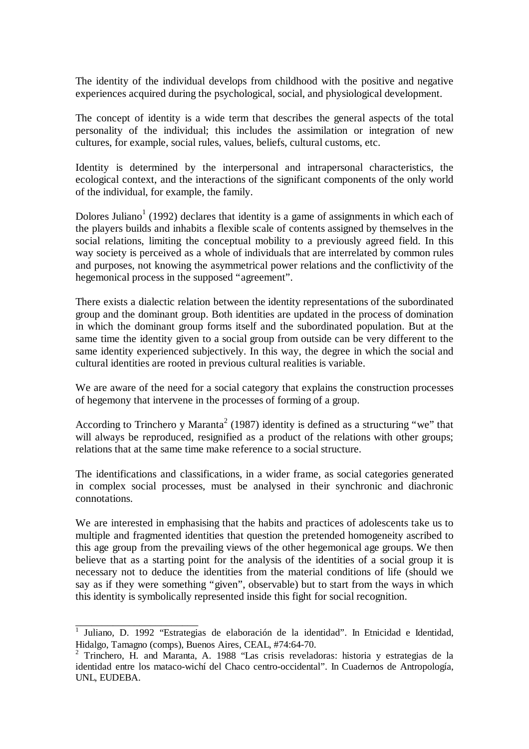The identity of the individual develops from childhood with the positive and negative experiences acquired during the psychological, social, and physiological development.

The concept of identity is a wide term that describes the general aspects of the total personality of the individual; this includes the assimilation or integration of new cultures, for example, social rules, values, beliefs, cultural customs, etc.

Identity is determined by the interpersonal and intrapersonal characteristics, the ecological context, and the interactions of the significant components of the only world of the individual, for example, the family.

Dolores Juliano<sup>1</sup> (1992) declares that identity is a game of assignments in which each of the players builds and inhabits a flexible scale of contents assigned by themselves in the social relations, limiting the conceptual mobility to a previously agreed field. In this way society is perceived as a whole of individuals that are interrelated by common rules and purposes, not knowing the asymmetrical power relations and the conflictivity of the hegemonical process in the supposed "agreement".

There exists a dialectic relation between the identity representations of the subordinated group and the dominant group. Both identities are updated in the process of domination in which the dominant group forms itself and the subordinated population. But at the same time the identity given to a social group from outside can be very different to the same identity experienced subjectively. In this way, the degree in which the social and cultural identities are rooted in previous cultural realities is variable.

We are aware of the need for a social category that explains the construction processes of hegemony that intervene in the processes of forming of a group.

According to Trinchero y Maranta<sup>2</sup> (1987) identity is defined as a structuring "we" that will always be reproduced, resignified as a product of the relations with other groups; relations that at the same time make reference to a social structure.

The identifications and classifications, in a wider frame, as social categories generated in complex social processes, must be analysed in their synchronic and diachronic connotations.

We are interested in emphasising that the habits and practices of adolescents take us to multiple and fragmented identities that question the pretended homogeneity ascribed to this age group from the prevailing views of the other hegemonical age groups. We then believe that as a starting point for the analysis of the identities of a social group it is necessary not to deduce the identities from the material conditions of life (should we say as if they were something "given", observable) but to start from the ways in which this identity is symbolically represented inside this fight for social recognition.

<sup>&</sup>lt;sup>1</sup> Juliano, D. 1992 "Estrategias de elaboración de la identidad". In Etnicidad e Identidad, Hidalgo, Tamagno (comps), Buenos Aires, CEAL, #74:64-70.

<sup>&</sup>lt;sup>2</sup> Trinchero, H. and Maranta, A. 1988 "Las crisis reveladoras: historia y estrategias de la identidad entre los mataco-wichí del Chaco centro-occidental". In Cuadernos de Antropología, UNL, EUDEBA.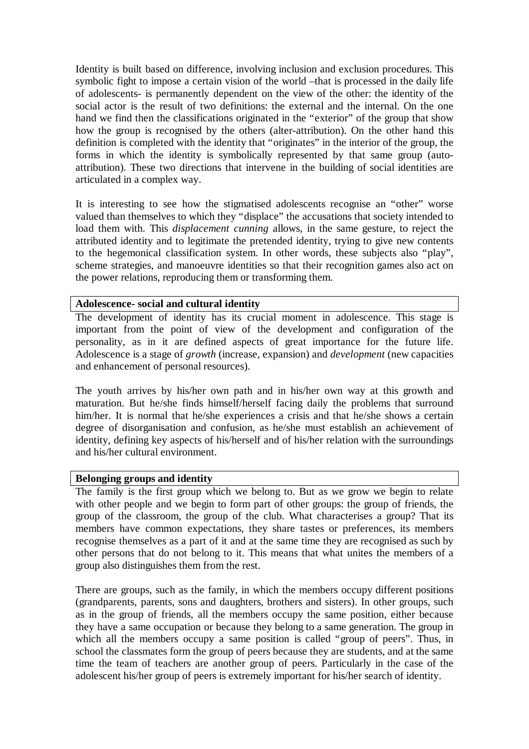Identity is built based on difference, involving inclusion and exclusion procedures. This symbolic fight to impose a certain vision of the world –that is processed in the daily life of adolescents- is permanently dependent on the view of the other: the identity of the social actor is the result of two definitions: the external and the internal. On the one hand we find then the classifications originated in the "exterior" of the group that show how the group is recognised by the others (alter-attribution). On the other hand this definition is completed with the identity that "originates" in the interior of the group, the forms in which the identity is symbolically represented by that same group (autoattribution). These two directions that intervene in the building of social identities are articulated in a complex way.

It is interesting to see how the stigmatised adolescents recognise an "other" worse valued than themselves to which they "displace" the accusations that society intended to load them with. This *displacement cunning* allows, in the same gesture, to reject the attributed identity and to legitimate the pretended identity, trying to give new contents to the hegemonical classification system. In other words, these subjects also "play", scheme strategies, and manoeuvre identities so that their recognition games also act on the power relations, reproducing them or transforming them.

#### **Adolescence- social and cultural identity**

The development of identity has its crucial moment in adolescence. This stage is important from the point of view of the development and configuration of the personality, as in it are defined aspects of great importance for the future life. Adolescence is a stage of *growth* (increase, expansion) and *development* (new capacities and enhancement of personal resources).

The youth arrives by his/her own path and in his/her own way at this growth and maturation. But he/she finds himself/herself facing daily the problems that surround him/her. It is normal that he/she experiences a crisis and that he/she shows a certain degree of disorganisation and confusion, as he/she must establish an achievement of identity, defining key aspects of his/herself and of his/her relation with the surroundings and his/her cultural environment.

#### **Belonging groups and identity**

The family is the first group which we belong to. But as we grow we begin to relate with other people and we begin to form part of other groups: the group of friends, the group of the classroom, the group of the club. What characterises a group? That its members have common expectations, they share tastes or preferences, its members recognise themselves as a part of it and at the same time they are recognised as such by other persons that do not belong to it. This means that what unites the members of a group also distinguishes them from the rest.

There are groups, such as the family, in which the members occupy different positions (grandparents, parents, sons and daughters, brothers and sisters). In other groups, such as in the group of friends, all the members occupy the same position, either because they have a same occupation or because they belong to a same generation. The group in which all the members occupy a same position is called "group of peers". Thus, in school the classmates form the group of peers because they are students, and at the same time the team of teachers are another group of peers. Particularly in the case of the adolescent his/her group of peers is extremely important for his/her search of identity.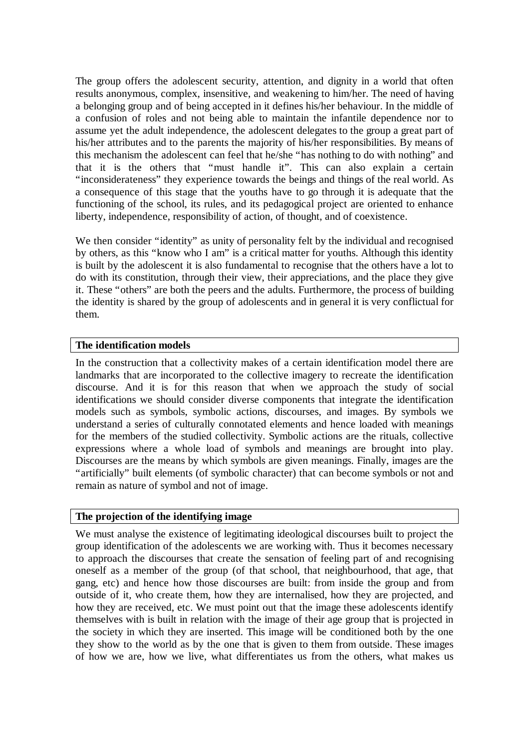The group offers the adolescent security, attention, and dignity in a world that often results anonymous, complex, insensitive, and weakening to him/her. The need of having a belonging group and of being accepted in it defines his/her behaviour. In the middle of a confusion of roles and not being able to maintain the infantile dependence nor to assume yet the adult independence, the adolescent delegates to the group a great part of his/her attributes and to the parents the majority of his/her responsibilities. By means of this mechanism the adolescent can feel that he/she "has nothing to do with nothing" and that it is the others that "must handle it". This can also explain a certain "inconsiderateness" they experience towards the beings and things of the real world. As a consequence of this stage that the youths have to go through it is adequate that the functioning of the school, its rules, and its pedagogical project are oriented to enhance liberty, independence, responsibility of action, of thought, and of coexistence.

We then consider "identity" as unity of personality felt by the individual and recognised by others, as this "know who I am" is a critical matter for youths. Although this identity is built by the adolescent it is also fundamental to recognise that the others have a lot to do with its constitution, through their view, their appreciations, and the place they give it. These "others" are both the peers and the adults. Furthermore, the process of building the identity is shared by the group of adolescents and in general it is very conflictual for them.

# **The identification models**

In the construction that a collectivity makes of a certain identification model there are landmarks that are incorporated to the collective imagery to recreate the identification discourse. And it is for this reason that when we approach the study of social identifications we should consider diverse components that integrate the identification models such as symbols, symbolic actions, discourses, and images. By symbols we understand a series of culturally connotated elements and hence loaded with meanings for the members of the studied collectivity. Symbolic actions are the rituals, collective expressions where a whole load of symbols and meanings are brought into play. Discourses are the means by which symbols are given meanings. Finally, images are the "artificially" built elements (of symbolic character) that can become symbols or not and remain as nature of symbol and not of image.

### **The projection of the identifying image**

We must analyse the existence of legitimating ideological discourses built to project the group identification of the adolescents we are working with. Thus it becomes necessary to approach the discourses that create the sensation of feeling part of and recognising oneself as a member of the group (of that school, that neighbourhood, that age, that gang, etc) and hence how those discourses are built: from inside the group and from outside of it, who create them, how they are internalised, how they are projected, and how they are received, etc. We must point out that the image these adolescents identify themselves with is built in relation with the image of their age group that is projected in the society in which they are inserted. This image will be conditioned both by the one they show to the world as by the one that is given to them from outside. These images of how we are, how we live, what differentiates us from the others, what makes us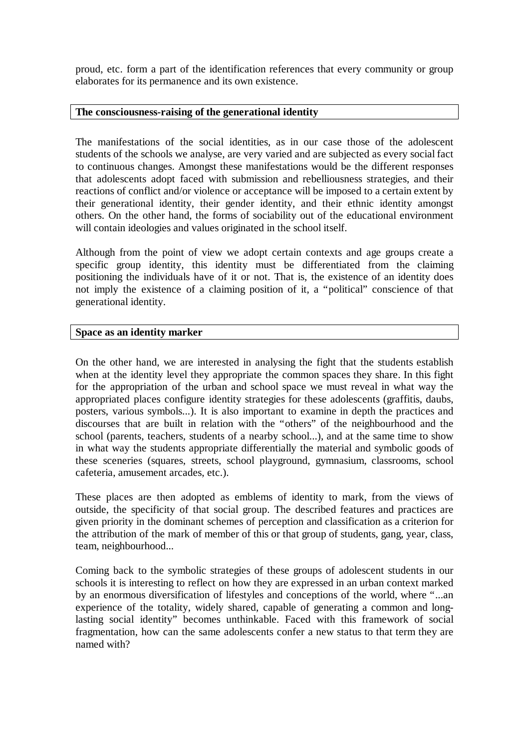proud, etc. form a part of the identification references that every community or group elaborates for its permanence and its own existence.

### **The consciousness-raising of the generational identity**

The manifestations of the social identities, as in our case those of the adolescent students of the schools we analyse, are very varied and are subjected as every social fact to continuous changes. Amongst these manifestations would be the different responses that adolescents adopt faced with submission and rebelliousness strategies, and their reactions of conflict and/or violence or acceptance will be imposed to a certain extent by their generational identity, their gender identity, and their ethnic identity amongst others. On the other hand, the forms of sociability out of the educational environment will contain ideologies and values originated in the school itself.

Although from the point of view we adopt certain contexts and age groups create a specific group identity, this identity must be differentiated from the claiming positioning the individuals have of it or not. That is, the existence of an identity does not imply the existence of a claiming position of it, a "political" conscience of that generational identity.

### **Space as an identity marker**

On the other hand, we are interested in analysing the fight that the students establish when at the identity level they appropriate the common spaces they share. In this fight for the appropriation of the urban and school space we must reveal in what way the appropriated places configure identity strategies for these adolescents (graffitis, daubs, posters, various symbols...). It is also important to examine in depth the practices and discourses that are built in relation with the "others" of the neighbourhood and the school (parents, teachers, students of a nearby school...), and at the same time to show in what way the students appropriate differentially the material and symbolic goods of these sceneries (squares, streets, school playground, gymnasium, classrooms, school cafeteria, amusement arcades, etc.).

These places are then adopted as emblems of identity to mark, from the views of outside, the specificity of that social group. The described features and practices are given priority in the dominant schemes of perception and classification as a criterion for the attribution of the mark of member of this or that group of students, gang, year, class, team, neighbourhood...

Coming back to the symbolic strategies of these groups of adolescent students in our schools it is interesting to reflect on how they are expressed in an urban context marked by an enormous diversification of lifestyles and conceptions of the world, where "...an experience of the totality, widely shared, capable of generating a common and longlasting social identity" becomes unthinkable. Faced with this framework of social fragmentation, how can the same adolescents confer a new status to that term they are named with?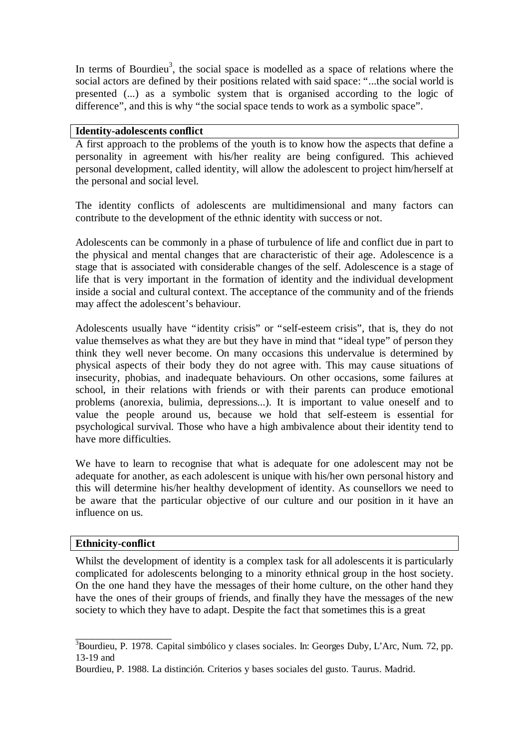In terms of Bourdieu<sup>3</sup>, the social space is modelled as a space of relations where the social actors are defined by their positions related with said space: "...the social world is presented (...) as a symbolic system that is organised according to the logic of difference", and this is why "the social space tends to work as a symbolic space".

### **Identity-adolescents conflict**

A first approach to the problems of the youth is to know how the aspects that define a personality in agreement with his/her reality are being configured. This achieved personal development, called identity, will allow the adolescent to project him/herself at the personal and social level.

The identity conflicts of adolescents are multidimensional and many factors can contribute to the development of the ethnic identity with success or not.

Adolescents can be commonly in a phase of turbulence of life and conflict due in part to the physical and mental changes that are characteristic of their age. Adolescence is a stage that is associated with considerable changes of the self. Adolescence is a stage of life that is very important in the formation of identity and the individual development inside a social and cultural context. The acceptance of the community and of the friends may affect the adolescent's behaviour.

Adolescents usually have "identity crisis" or "self-esteem crisis", that is, they do not value themselves as what they are but they have in mind that "ideal type" of person they think they well never become. On many occasions this undervalue is determined by physical aspects of their body they do not agree with. This may cause situations of insecurity, phobias, and inadequate behaviours. On other occasions, some failures at school, in their relations with friends or with their parents can produce emotional problems (anorexia, bulimia, depressions...). It is important to value oneself and to value the people around us, because we hold that self-esteem is essential for psychological survival. Those who have a high ambivalence about their identity tend to have more difficulties.

We have to learn to recognise that what is adequate for one adolescent may not be adequate for another, as each adolescent is unique with his/her own personal history and this will determine his/her healthy development of identity. As counsellors we need to be aware that the particular objective of our culture and our position in it have an influence on us.

### **Ethnicity-conflict**

\_\_\_\_\_\_\_\_\_\_\_\_\_\_\_\_\_\_

Whilst the development of identity is a complex task for all adolescents it is particularly complicated for adolescents belonging to a minority ethnical group in the host society. On the one hand they have the messages of their home culture, on the other hand they have the ones of their groups of friends, and finally they have the messages of the new society to which they have to adapt. Despite the fact that sometimes this is a great

<sup>&</sup>lt;sup>3</sup>Bourdieu, P. 1978. Capital simbólico y clases sociales. In: Georges Duby, L'Arc, Num. 72, pp. 13-19 and

Bourdieu, P. 1988. La distinción. Criterios y bases sociales del gusto. Taurus. Madrid.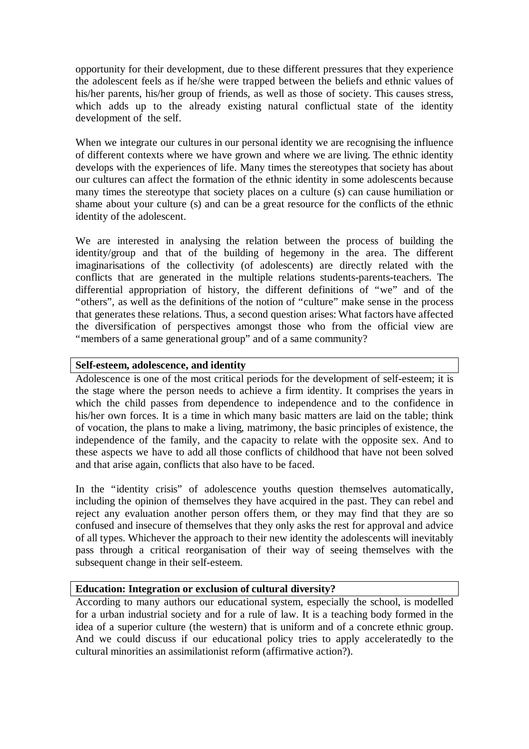opportunity for their development, due to these different pressures that they experience the adolescent feels as if he/she were trapped between the beliefs and ethnic values of his/her parents, his/her group of friends, as well as those of society. This causes stress, which adds up to the already existing natural conflictual state of the identity development of the self.

When we integrate our cultures in our personal identity we are recognising the influence of different contexts where we have grown and where we are living. The ethnic identity develops with the experiences of life. Many times the stereotypes that society has about our cultures can affect the formation of the ethnic identity in some adolescents because many times the stereotype that society places on a culture (s) can cause humiliation or shame about your culture (s) and can be a great resource for the conflicts of the ethnic identity of the adolescent.

We are interested in analysing the relation between the process of building the identity/group and that of the building of hegemony in the area. The different imaginarisations of the collectivity (of adolescents) are directly related with the conflicts that are generated in the multiple relations students-parents-teachers. The differential appropriation of history, the different definitions of "we" and of the "others", as well as the definitions of the notion of "culture" make sense in the process that generates these relations. Thus, a second question arises: What factors have affected the diversification of perspectives amongst those who from the official view are "members of a same generational group" and of a same community?

### **Self-esteem, adolescence, and identity**

Adolescence is one of the most critical periods for the development of self-esteem; it is the stage where the person needs to achieve a firm identity. It comprises the years in which the child passes from dependence to independence and to the confidence in his/her own forces. It is a time in which many basic matters are laid on the table; think of vocation, the plans to make a living, matrimony, the basic principles of existence, the independence of the family, and the capacity to relate with the opposite sex. And to these aspects we have to add all those conflicts of childhood that have not been solved and that arise again, conflicts that also have to be faced.

In the "identity crisis" of adolescence youths question themselves automatically, including the opinion of themselves they have acquired in the past. They can rebel and reject any evaluation another person offers them, or they may find that they are so confused and insecure of themselves that they only asks the rest for approval and advice of all types. Whichever the approach to their new identity the adolescents will inevitably pass through a critical reorganisation of their way of seeing themselves with the subsequent change in their self-esteem.

#### **Education: Integration or exclusion of cultural diversity?**

According to many authors our educational system, especially the school, is modelled for a urban industrial society and for a rule of law. It is a teaching body formed in the idea of a superior culture (the western) that is uniform and of a concrete ethnic group. And we could discuss if our educational policy tries to apply acceleratedly to the cultural minorities an assimilationist reform (affirmative action?).